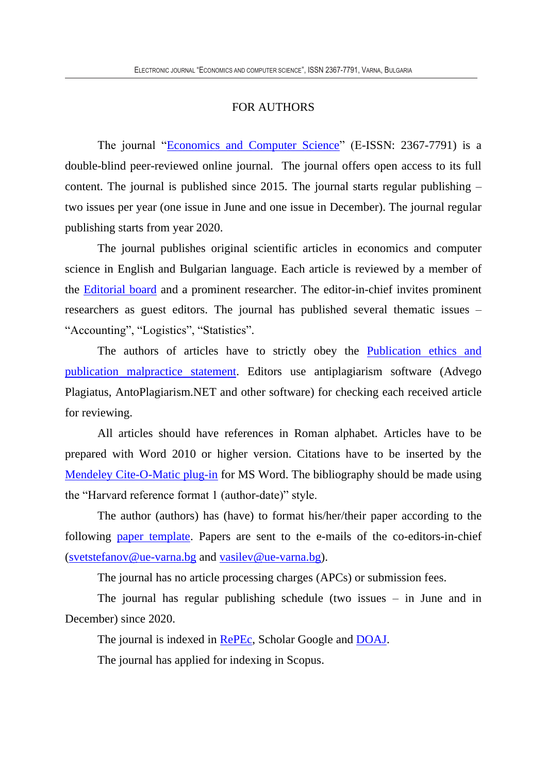## FOR AUTHORS

The journal ["Economics and Computer Science"](http://eknigibg.net/index.php?route=information/information&information_id=8) (E-ISSN: 2367-7791) is a double-blind peer-reviewed online journal. The journal offers open access to its full content. The journal is published since 2015. The journal starts regular publishing – two issues per year (one issue in June and one issue in December). The journal regular publishing starts from year 2020.

The journal publishes original scientific articles in economics and computer science in English and Bulgarian language. Each article is reviewed by a member of the [Editorial board](Editorial_board.pdf) and a prominent researcher. The editor-in-chief invites prominent researchers as guest editors. The journal has published several thematic issues – "Accounting", "Logistics", "Statistics".

The authors of articles have to strictly obey the **Publication** ethics and [publication malpractice statement.](http://eknigibg.net/Publication_Ethics_and_Malpractice_Statement.pdf) Editors use antiplagiarism software (Advego Plagiatus, AntoPlagiarism.NET and other software) for checking each received article for reviewing.

All articles should have references in Roman alphabet. Articles have to be prepared with Word 2010 or higher version. Citations have to be inserted by the [Mendeley Cite-O-Matic plug-in](https://www.mendeley.com/) for MS Word. The bibliography should be made using the "Harvard reference format 1 (author-date)" style.

The author (authors) has (have) to format his/her/their paper according to the following [paper template.](http://eknigibg.net/Paper_template_ECS_EN.docx) Papers are sent to the e-mails of the co-editors-in-chief [\(svetstefanov@ue-varna.bg](mailto:svetstefanov@ue-varna.bg) and [vasilev@ue-varna.bg\)](mailto:vasilev@ue-varna.bg).

The journal has no article processing charges (APCs) or submission fees.

The journal has regular publishing schedule (two issues – in June and in December) since 2020.

The journal is indexed in [RePEc,](http://econpapers.repec.org/article/kabjournl/) Scholar Google and [DOAJ.](https://doaj.org/toc/2367-7791)

The journal has applied for indexing in Scopus.